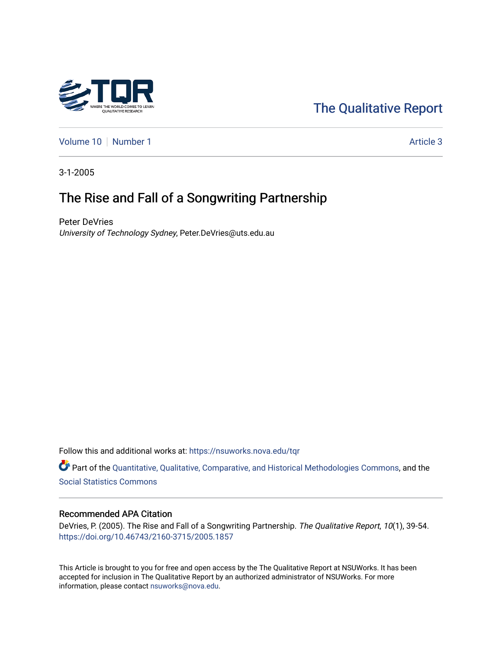# [The Qualitative Report](https://nsuworks.nova.edu/tqr)

[Volume 10](https://nsuworks.nova.edu/tqr/vol10) [Number 1](https://nsuworks.nova.edu/tqr/vol10/iss1) Article 3

3-1-2005

# The Rise and Fall of a Songwriting Partnership

Peter DeVries University of Technology Sydney, Peter.DeVries@uts.edu.au

Follow this and additional works at: [https://nsuworks.nova.edu/tqr](https://nsuworks.nova.edu/tqr?utm_source=nsuworks.nova.edu%2Ftqr%2Fvol10%2Fiss1%2F3&utm_medium=PDF&utm_campaign=PDFCoverPages) 

Part of the [Quantitative, Qualitative, Comparative, and Historical Methodologies Commons,](http://network.bepress.com/hgg/discipline/423?utm_source=nsuworks.nova.edu%2Ftqr%2Fvol10%2Fiss1%2F3&utm_medium=PDF&utm_campaign=PDFCoverPages) and the [Social Statistics Commons](http://network.bepress.com/hgg/discipline/1275?utm_source=nsuworks.nova.edu%2Ftqr%2Fvol10%2Fiss1%2F3&utm_medium=PDF&utm_campaign=PDFCoverPages) 

## Recommended APA Citation

DeVries, P. (2005). The Rise and Fall of a Songwriting Partnership. The Qualitative Report, 10(1), 39-54. <https://doi.org/10.46743/2160-3715/2005.1857>

This Article is brought to you for free and open access by the The Qualitative Report at NSUWorks. It has been accepted for inclusion in The Qualitative Report by an authorized administrator of NSUWorks. For more information, please contact [nsuworks@nova.edu.](mailto:nsuworks@nova.edu)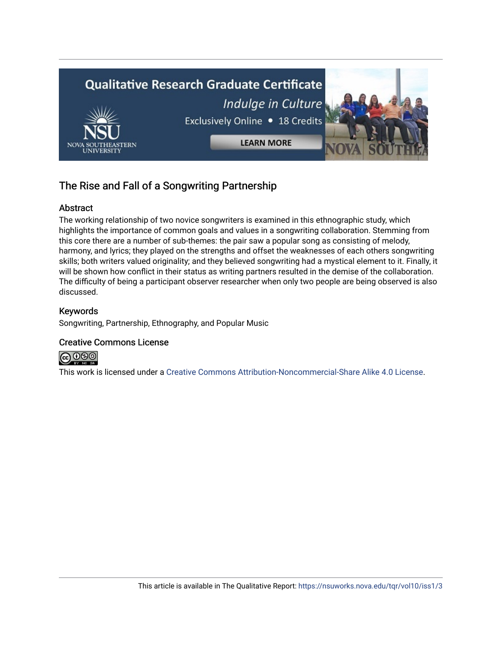

# The Rise and Fall of a Songwriting Partnership

# Abstract

The working relationship of two novice songwriters is examined in this ethnographic study, which highlights the importance of common goals and values in a songwriting collaboration. Stemming from this core there are a number of sub-themes: the pair saw a popular song as consisting of melody, harmony, and lyrics; they played on the strengths and offset the weaknesses of each others songwriting skills; both writers valued originality; and they believed songwriting had a mystical element to it. Finally, it will be shown how conflict in their status as writing partners resulted in the demise of the collaboration. The difficulty of being a participant observer researcher when only two people are being observed is also discussed.

# Keywords

Songwriting, Partnership, Ethnography, and Popular Music

## Creative Commons License



This work is licensed under a [Creative Commons Attribution-Noncommercial-Share Alike 4.0 License](https://creativecommons.org/licenses/by-nc-sa/4.0/).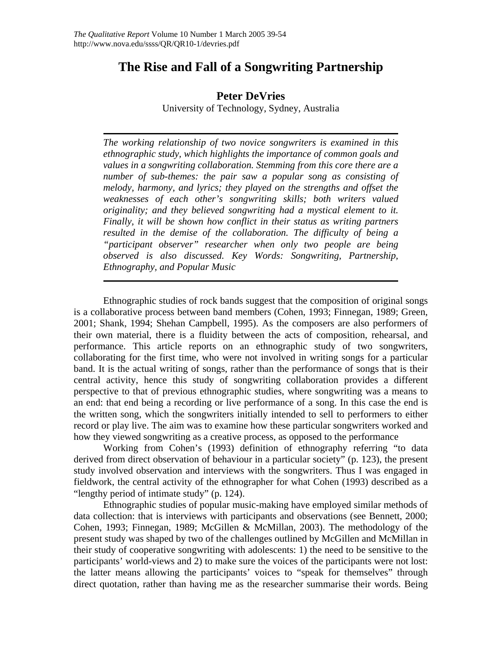# **The Rise and Fall of a Songwriting Partnership**

# **Peter DeVries**

University of Technology, Sydney, Australia

*The working relationship of two novice songwriters is examined in this ethnographic study, which highlights the importance of common goals and values in a songwriting collaboration. Stemming from this core there are a number of sub-themes: the pair saw a popular song as consisting of melody, harmony, and lyrics; they played on the strengths and offset the weaknesses of each other's songwriting skills; both writers valued originality; and they believed songwriting had a mystical element to it. Finally, it will be shown how conflict in their status as writing partners resulted in the demise of the collaboration. The difficulty of being a "participant observer" researcher when only two people are being observed is also discussed. Key Words: Songwriting, Partnership, Ethnography, and Popular Music* 

Ethnographic studies of rock bands suggest that the composition of original songs is a collaborative process between band members (Cohen, 1993; Finnegan, 1989; Green, 2001; Shank, 1994; Shehan Campbell, 1995). As the composers are also performers of their own material, there is a fluidity between the acts of composition, rehearsal, and performance. This article reports on an ethnographic study of two songwriters, collaborating for the first time, who were not involved in writing songs for a particular band. It is the actual writing of songs, rather than the performance of songs that is their central activity, hence this study of songwriting collaboration provides a different perspective to that of previous ethnographic studies, where songwriting was a means to an end: that end being a recording or live performance of a song. In this case the end is the written song, which the songwriters initially intended to sell to performers to either record or play live. The aim was to examine how these particular songwriters worked and how they viewed songwriting as a creative process, as opposed to the performance

Working from Cohen's (1993) definition of ethnography referring "to data derived from direct observation of behaviour in a particular society" (p. 123), the present study involved observation and interviews with the songwriters. Thus I was engaged in fieldwork, the central activity of the ethnographer for what Cohen (1993) described as a "lengthy period of intimate study" (p. 124).

Ethnographic studies of popular music-making have employed similar methods of data collection: that is interviews with participants and observations (see Bennett, 2000; Cohen, 1993; Finnegan, 1989; McGillen & McMillan, 2003). The methodology of the present study was shaped by two of the challenges outlined by McGillen and McMillan in their study of cooperative songwriting with adolescents: 1) the need to be sensitive to the participants' world-views and 2) to make sure the voices of the participants were not lost: the latter means allowing the participants' voices to "speak for themselves" through direct quotation, rather than having me as the researcher summarise their words. Being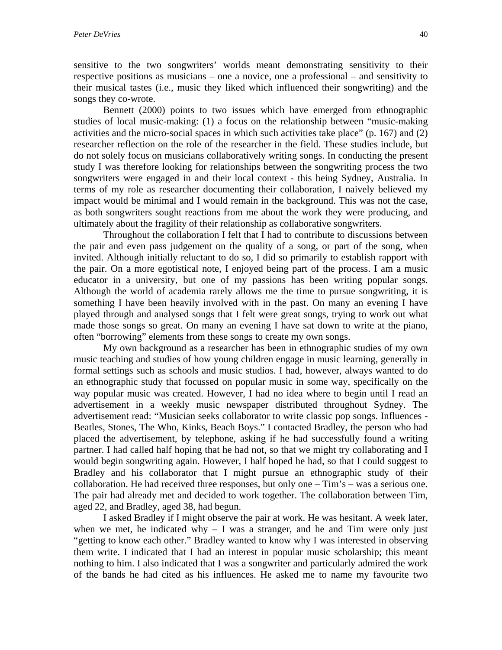sensitive to the two songwriters' worlds meant demonstrating sensitivity to their respective positions as musicians – one a novice, one a professional – and sensitivity to their musical tastes (i.e., music they liked which influenced their songwriting) and the songs they co-wrote.

Bennett (2000) points to two issues which have emerged from ethnographic studies of local music-making: (1) a focus on the relationship between "music-making activities and the micro-social spaces in which such activities take place" (p. 167) and (2) researcher reflection on the role of the researcher in the field. These studies include, but do not solely focus on musicians collaboratively writing songs. In conducting the present study I was therefore looking for relationships between the songwriting process the two songwriters were engaged in and their local context - this being Sydney, Australia. In terms of my role as researcher documenting their collaboration, I naively believed my impact would be minimal and I would remain in the background. This was not the case, as both songwriters sought reactions from me about the work they were producing, and ultimately about the fragility of their relationship as collaborative songwriters.

Throughout the collaboration I felt that I had to contribute to discussions between the pair and even pass judgement on the quality of a song, or part of the song, when invited. Although initially reluctant to do so, I did so primarily to establish rapport with the pair. On a more egotistical note, I enjoyed being part of the process. I am a music educator in a university, but one of my passions has been writing popular songs. Although the world of academia rarely allows me the time to pursue songwriting, it is something I have been heavily involved with in the past. On many an evening I have played through and analysed songs that I felt were great songs, trying to work out what made those songs so great. On many an evening I have sat down to write at the piano, often "borrowing" elements from these songs to create my own songs.

My own background as a researcher has been in ethnographic studies of my own music teaching and studies of how young children engage in music learning, generally in formal settings such as schools and music studios. I had, however, always wanted to do an ethnographic study that focussed on popular music in some way, specifically on the way popular music was created. However, I had no idea where to begin until I read an advertisement in a weekly music newspaper distributed throughout Sydney. The advertisement read: "Musician seeks collaborator to write classic pop songs. Influences - Beatles, Stones, The Who, Kinks, Beach Boys." I contacted Bradley, the person who had placed the advertisement, by telephone, asking if he had successfully found a writing partner. I had called half hoping that he had not, so that we might try collaborating and I would begin songwriting again. However, I half hoped he had, so that I could suggest to Bradley and his collaborator that I might pursue an ethnographic study of their collaboration. He had received three responses, but only one – Tim's – was a serious one. The pair had already met and decided to work together. The collaboration between Tim, aged 22, and Bradley, aged 38, had begun.

I asked Bradley if I might observe the pair at work. He was hesitant. A week later, when we met, he indicated why  $- I$  was a stranger, and he and Tim were only just "getting to know each other." Bradley wanted to know why I was interested in observing them write. I indicated that I had an interest in popular music scholarship; this meant nothing to him. I also indicated that I was a songwriter and particularly admired the work of the bands he had cited as his influences. He asked me to name my favourite two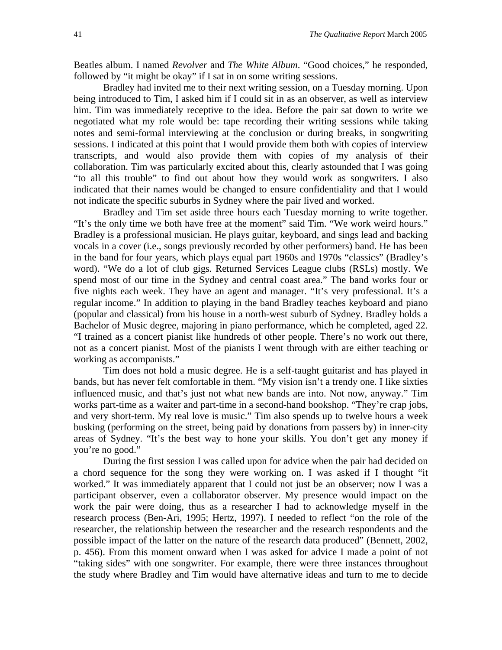Beatles album. I named *Revolver* and *The White Album*. "Good choices," he responded, followed by "it might be okay" if I sat in on some writing sessions.

Bradley had invited me to their next writing session, on a Tuesday morning. Upon being introduced to Tim, I asked him if I could sit in as an observer, as well as interview him. Tim was immediately receptive to the idea. Before the pair sat down to write we negotiated what my role would be: tape recording their writing sessions while taking notes and semi-formal interviewing at the conclusion or during breaks, in songwriting sessions. I indicated at this point that I would provide them both with copies of interview transcripts, and would also provide them with copies of my analysis of their collaboration. Tim was particularly excited about this, clearly astounded that I was going "to all this trouble" to find out about how they would work as songwriters. I also indicated that their names would be changed to ensure confidentiality and that I would not indicate the specific suburbs in Sydney where the pair lived and worked.

Bradley and Tim set aside three hours each Tuesday morning to write together. "It's the only time we both have free at the moment" said Tim. "We work weird hours." Bradley is a professional musician. He plays guitar, keyboard, and sings lead and backing vocals in a cover (i.e., songs previously recorded by other performers) band. He has been in the band for four years, which plays equal part 1960s and 1970s "classics" (Bradley's word). "We do a lot of club gigs. Returned Services League clubs (RSLs) mostly. We spend most of our time in the Sydney and central coast area." The band works four or five nights each week. They have an agent and manager. "It's very professional. It's a regular income." In addition to playing in the band Bradley teaches keyboard and piano (popular and classical) from his house in a north-west suburb of Sydney. Bradley holds a Bachelor of Music degree, majoring in piano performance, which he completed, aged 22. "I trained as a concert pianist like hundreds of other people. There's no work out there, not as a concert pianist. Most of the pianists I went through with are either teaching or working as accompanists."

Tim does not hold a music degree. He is a self-taught guitarist and has played in bands, but has never felt comfortable in them. "My vision isn't a trendy one. I like sixties influenced music, and that's just not what new bands are into. Not now, anyway." Tim works part-time as a waiter and part-time in a second-hand bookshop. "They're crap jobs, and very short-term. My real love is music." Tim also spends up to twelve hours a week busking (performing on the street, being paid by donations from passers by) in inner-city areas of Sydney. "It's the best way to hone your skills. You don't get any money if you're no good."

During the first session I was called upon for advice when the pair had decided on a chord sequence for the song they were working on. I was asked if I thought "it worked." It was immediately apparent that I could not just be an observer; now I was a participant observer, even a collaborator observer. My presence would impact on the work the pair were doing, thus as a researcher I had to acknowledge myself in the research process (Ben-Ari, 1995; Hertz, 1997). I needed to reflect "on the role of the researcher, the relationship between the researcher and the research respondents and the possible impact of the latter on the nature of the research data produced" (Bennett, 2002, p. 456). From this moment onward when I was asked for advice I made a point of not "taking sides" with one songwriter. For example, there were three instances throughout the study where Bradley and Tim would have alternative ideas and turn to me to decide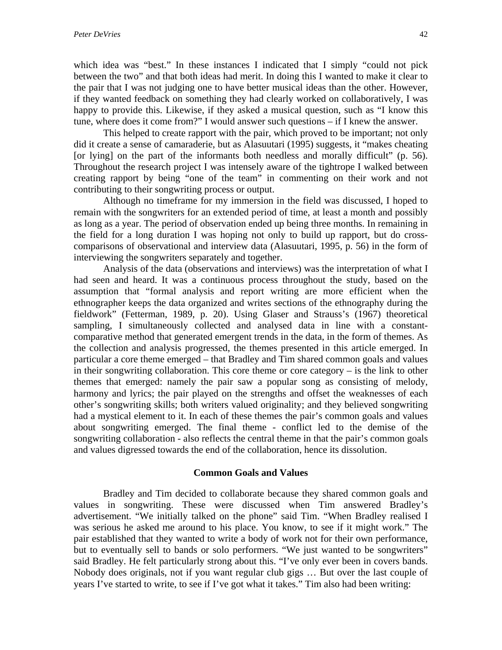which idea was "best." In these instances I indicated that I simply "could not pick between the two" and that both ideas had merit. In doing this I wanted to make it clear to the pair that I was not judging one to have better musical ideas than the other. However, if they wanted feedback on something they had clearly worked on collaboratively, I was happy to provide this. Likewise, if they asked a musical question, such as "I know this tune, where does it come from?" I would answer such questions – if I knew the answer.

This helped to create rapport with the pair, which proved to be important; not only did it create a sense of camaraderie, but as Alasuutari (1995) suggests, it "makes cheating [or lying] on the part of the informants both needless and morally difficult" (p. 56). Throughout the research project I was intensely aware of the tightrope I walked between creating rapport by being "one of the team" in commenting on their work and not contributing to their songwriting process or output.

Although no timeframe for my immersion in the field was discussed, I hoped to remain with the songwriters for an extended period of time, at least a month and possibly as long as a year. The period of observation ended up being three months. In remaining in the field for a long duration I was hoping not only to build up rapport, but do crosscomparisons of observational and interview data (Alasuutari, 1995, p. 56) in the form of interviewing the songwriters separately and together.

Analysis of the data (observations and interviews) was the interpretation of what I had seen and heard. It was a continuous process throughout the study, based on the assumption that "formal analysis and report writing are more efficient when the ethnographer keeps the data organized and writes sections of the ethnography during the fieldwork" (Fetterman, 1989, p. 20). Using Glaser and Strauss's (1967) theoretical sampling, I simultaneously collected and analysed data in line with a constantcomparative method that generated emergent trends in the data, in the form of themes. As the collection and analysis progressed, the themes presented in this article emerged. In particular a core theme emerged – that Bradley and Tim shared common goals and values in their songwriting collaboration. This core theme or core category – is the link to other themes that emerged: namely the pair saw a popular song as consisting of melody, harmony and lyrics; the pair played on the strengths and offset the weaknesses of each other's songwriting skills; both writers valued originality; and they believed songwriting had a mystical element to it. In each of these themes the pair's common goals and values about songwriting emerged. The final theme - conflict led to the demise of the songwriting collaboration - also reflects the central theme in that the pair's common goals and values digressed towards the end of the collaboration, hence its dissolution.

#### **Common Goals and Values**

Bradley and Tim decided to collaborate because they shared common goals and values in songwriting. These were discussed when Tim answered Bradley's advertisement. "We initially talked on the phone" said Tim. "When Bradley realised I was serious he asked me around to his place. You know, to see if it might work." The pair established that they wanted to write a body of work not for their own performance, but to eventually sell to bands or solo performers. "We just wanted to be songwriters" said Bradley. He felt particularly strong about this. "I've only ever been in covers bands. Nobody does originals, not if you want regular club gigs … But over the last couple of years I've started to write, to see if I've got what it takes." Tim also had been writing: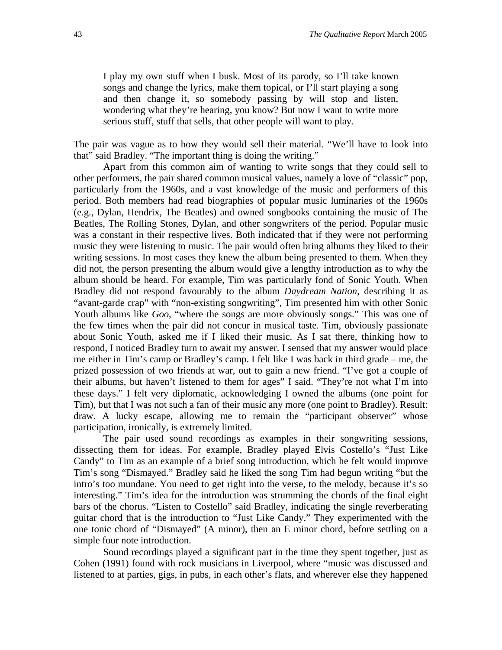I play my own stuff when I busk. Most of its parody, so I'll take known songs and change the lyrics, make them topical, or I'll start playing a song and then change it, so somebody passing by will stop and listen, wondering what they're hearing, you know? But now I want to write more serious stuff, stuff that sells, that other people will want to play.

The pair was vague as to how they would sell their material. "We'll have to look into that" said Bradley. "The important thing is doing the writing."

Apart from this common aim of wanting to write songs that they could sell to other performers, the pair shared common musical values, namely a love of "classic" pop, particularly from the 1960s, and a vast knowledge of the music and performers of this period. Both members had read biographies of popular music luminaries of the 1960s (e.g., Dylan, Hendrix, The Beatles) and owned songbooks containing the music of The Beatles, The Rolling Stones, Dylan, and other songwriters of the period. Popular music was a constant in their respective lives. Both indicated that if they were not performing music they were listening to music. The pair would often bring albums they liked to their writing sessions. In most cases they knew the album being presented to them. When they did not, the person presenting the album would give a lengthy introduction as to why the album should be heard. For example, Tim was particularly fond of Sonic Youth. When Bradley did not respond favourably to the album *Daydream Nation*, describing it as "avant-garde crap" with "non-existing songwriting", Tim presented him with other Sonic Youth albums like *Goo*, "where the songs are more obviously songs." This was one of the few times when the pair did not concur in musical taste. Tim, obviously passionate about Sonic Youth, asked me if I liked their music. As I sat there, thinking how to respond, I noticed Bradley turn to await my answer. I sensed that my answer would place me either in Tim's camp or Bradley's camp. I felt like I was back in third grade – me, the prized possession of two friends at war, out to gain a new friend. "I've got a couple of their albums, but haven't listened to them for ages" I said. "They're not what I'm into these days." I felt very diplomatic, acknowledging I owned the albums (one point for Tim), but that I was not such a fan of their music any more (one point to Bradley). Result: draw. A lucky escape, allowing me to remain the "participant observer" whose participation, ironically, is extremely limited.

The pair used sound recordings as examples in their songwriting sessions, dissecting them for ideas. For example, Bradley played Elvis Costello's "Just Like Candy" to Tim as an example of a brief song introduction, which he felt would improve Tim's song "Dismayed." Bradley said he liked the song Tim had begun writing "but the intro's too mundane. You need to get right into the verse, to the melody, because it's so interesting." Tim's idea for the introduction was strumming the chords of the final eight bars of the chorus. "Listen to Costello" said Bradley, indicating the single reverberating guitar chord that is the introduction to "Just Like Candy." They experimented with the one tonic chord of "Dismayed" (A minor), then an E minor chord, before settling on a simple four note introduction.

Sound recordings played a significant part in the time they spent together, just as Cohen (1991) found with rock musicians in Liverpool, where "music was discussed and listened to at parties, gigs, in pubs, in each other's flats, and wherever else they happened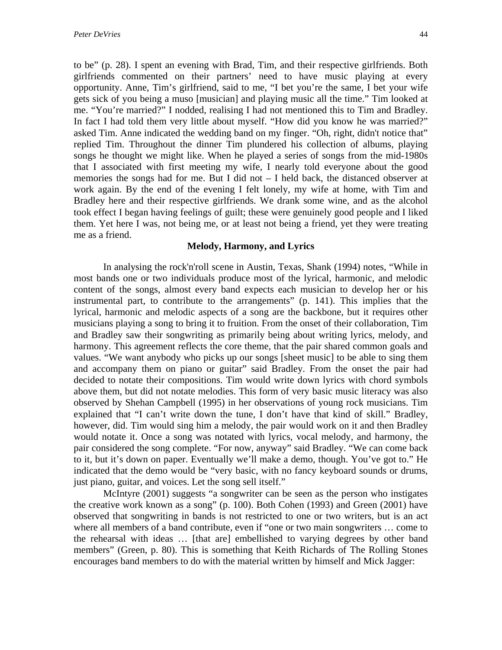to be" (p. 28). I spent an evening with Brad, Tim, and their respective girlfriends. Both girlfriends commented on their partners' need to have music playing at every opportunity. Anne, Tim's girlfriend, said to me, "I bet you're the same, I bet your wife gets sick of you being a muso [musician] and playing music all the time." Tim looked at me. "You're married?" I nodded, realising I had not mentioned this to Tim and Bradley. In fact I had told them very little about myself. "How did you know he was married?" asked Tim. Anne indicated the wedding band on my finger. "Oh, right, didn't notice that" replied Tim. Throughout the dinner Tim plundered his collection of albums, playing songs he thought we might like. When he played a series of songs from the mid-1980s that I associated with first meeting my wife, I nearly told everyone about the good memories the songs had for me. But I did not – I held back, the distanced observer at work again. By the end of the evening I felt lonely, my wife at home, with Tim and Bradley here and their respective girlfriends. We drank some wine, and as the alcohol took effect I began having feelings of guilt; these were genuinely good people and I liked them. Yet here I was, not being me, or at least not being a friend, yet they were treating me as a friend.

#### **Melody, Harmony, and Lyrics**

In analysing the rock'n'roll scene in Austin, Texas, Shank (1994) notes, "While in most bands one or two individuals produce most of the lyrical, harmonic, and melodic content of the songs, almost every band expects each musician to develop her or his instrumental part, to contribute to the arrangements" (p. 141). This implies that the lyrical, harmonic and melodic aspects of a song are the backbone, but it requires other musicians playing a song to bring it to fruition. From the onset of their collaboration, Tim and Bradley saw their songwriting as primarily being about writing lyrics, melody, and harmony. This agreement reflects the core theme, that the pair shared common goals and values. "We want anybody who picks up our songs [sheet music] to be able to sing them and accompany them on piano or guitar" said Bradley. From the onset the pair had decided to notate their compositions. Tim would write down lyrics with chord symbols above them, but did not notate melodies. This form of very basic music literacy was also observed by Shehan Campbell (1995) in her observations of young rock musicians. Tim explained that "I can't write down the tune, I don't have that kind of skill." Bradley, however, did. Tim would sing him a melody, the pair would work on it and then Bradley would notate it. Once a song was notated with lyrics, vocal melody, and harmony, the pair considered the song complete. "For now, anyway" said Bradley. "We can come back to it, but it's down on paper. Eventually we'll make a demo, though. You've got to." He indicated that the demo would be "very basic, with no fancy keyboard sounds or drums, just piano, guitar, and voices. Let the song sell itself."

McIntyre (2001) suggests "a songwriter can be seen as the person who instigates the creative work known as a song" (p. 100). Both Cohen (1993) and Green (2001) have observed that songwriting in bands is not restricted to one or two writers, but is an act where all members of a band contribute, even if "one or two main songwriters … come to the rehearsal with ideas … [that are] embellished to varying degrees by other band members" (Green, p. 80). This is something that Keith Richards of The Rolling Stones encourages band members to do with the material written by himself and Mick Jagger: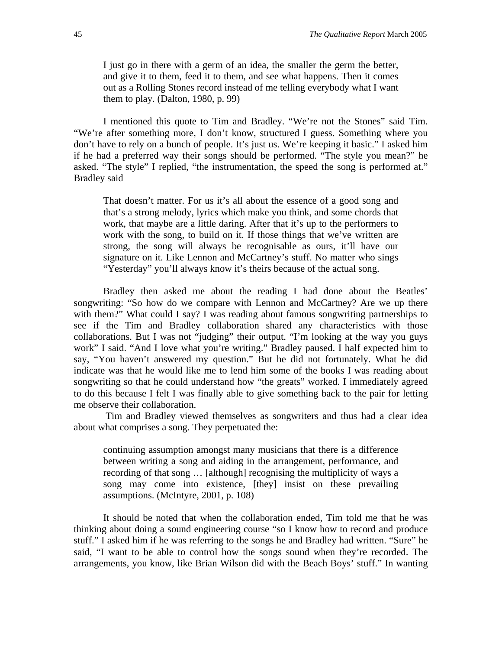I just go in there with a germ of an idea, the smaller the germ the better, and give it to them, feed it to them, and see what happens. Then it comes out as a Rolling Stones record instead of me telling everybody what I want them to play. (Dalton, 1980, p. 99)

I mentioned this quote to Tim and Bradley. "We're not the Stones" said Tim. "We're after something more, I don't know, structured I guess. Something where you don't have to rely on a bunch of people. It's just us. We're keeping it basic." I asked him if he had a preferred way their songs should be performed. "The style you mean?" he asked. "The style" I replied, "the instrumentation, the speed the song is performed at." Bradley said

That doesn't matter. For us it's all about the essence of a good song and that's a strong melody, lyrics which make you think, and some chords that work, that maybe are a little daring. After that it's up to the performers to work with the song, to build on it. If those things that we've written are strong, the song will always be recognisable as ours, it'll have our signature on it. Like Lennon and McCartney's stuff. No matter who sings "Yesterday" you'll always know it's theirs because of the actual song.

Bradley then asked me about the reading I had done about the Beatles' songwriting: "So how do we compare with Lennon and McCartney? Are we up there with them?" What could I say? I was reading about famous songwriting partnerships to see if the Tim and Bradley collaboration shared any characteristics with those collaborations. But I was not "judging" their output. "I'm looking at the way you guys work" I said. "And I love what you're writing." Bradley paused. I half expected him to say, "You haven't answered my question." But he did not fortunately. What he did indicate was that he would like me to lend him some of the books I was reading about songwriting so that he could understand how "the greats" worked. I immediately agreed to do this because I felt I was finally able to give something back to the pair for letting me observe their collaboration.

Tim and Bradley viewed themselves as songwriters and thus had a clear idea about what comprises a song. They perpetuated the:

continuing assumption amongst many musicians that there is a difference between writing a song and aiding in the arrangement, performance, and recording of that song … [although] recognising the multiplicity of ways a song may come into existence, [they] insist on these prevailing assumptions. (McIntyre, 2001, p. 108)

It should be noted that when the collaboration ended, Tim told me that he was thinking about doing a sound engineering course "so I know how to record and produce stuff." I asked him if he was referring to the songs he and Bradley had written. "Sure" he said, "I want to be able to control how the songs sound when they're recorded. The arrangements, you know, like Brian Wilson did with the Beach Boys' stuff." In wanting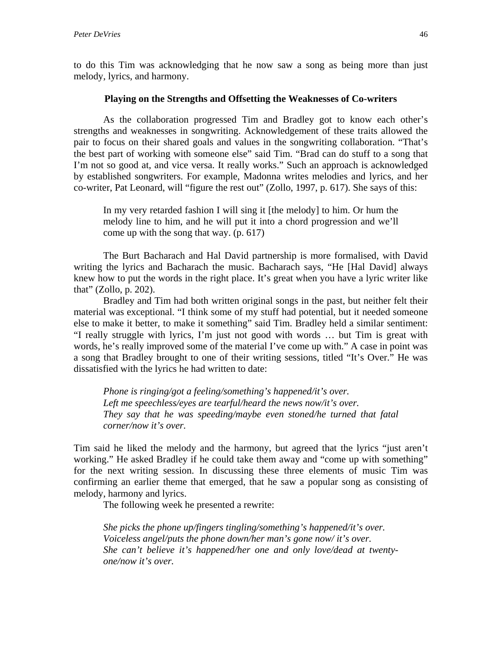to do this Tim was acknowledging that he now saw a song as being more than just melody, lyrics, and harmony.

#### **Playing on the Strengths and Offsetting the Weaknesses of Co-writers**

As the collaboration progressed Tim and Bradley got to know each other's strengths and weaknesses in songwriting. Acknowledgement of these traits allowed the pair to focus on their shared goals and values in the songwriting collaboration. "That's the best part of working with someone else" said Tim. "Brad can do stuff to a song that I'm not so good at, and vice versa. It really works." Such an approach is acknowledged by established songwriters. For example, Madonna writes melodies and lyrics, and her co-writer, Pat Leonard, will "figure the rest out" (Zollo, 1997, p. 617). She says of this:

In my very retarded fashion I will sing it [the melody] to him. Or hum the melody line to him, and he will put it into a chord progression and we'll come up with the song that way. (p. 617)

The Burt Bacharach and Hal David partnership is more formalised, with David writing the lyrics and Bacharach the music. Bacharach says, "He [Hal David] always knew how to put the words in the right place. It's great when you have a lyric writer like that" (Zollo, p. 202).

Bradley and Tim had both written original songs in the past, but neither felt their material was exceptional. "I think some of my stuff had potential, but it needed someone else to make it better, to make it something" said Tim. Bradley held a similar sentiment: "I really struggle with lyrics, I'm just not good with words … but Tim is great with words, he's really improved some of the material I've come up with." A case in point was a song that Bradley brought to one of their writing sessions, titled "It's Over." He was dissatisfied with the lyrics he had written to date:

*Phone is ringing/got a feeling/something's happened/it's over. Left me speechless/eyes are tearful/heard the news now/it's over. They say that he was speeding/maybe even stoned/he turned that fatal corner/now it's over.* 

Tim said he liked the melody and the harmony, but agreed that the lyrics "just aren't working." He asked Bradley if he could take them away and "come up with something" for the next writing session. In discussing these three elements of music Tim was confirming an earlier theme that emerged, that he saw a popular song as consisting of melody, harmony and lyrics.

The following week he presented a rewrite:

*She picks the phone up/fingers tingling/something's happened/it's over. Voiceless angel/puts the phone down/her man's gone now/ it's over. She can't believe it's happened/her one and only love/dead at twentyone/now it's over.*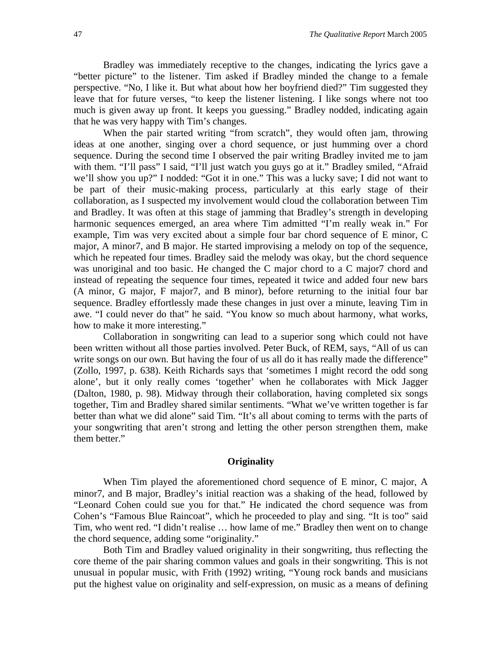Bradley was immediately receptive to the changes, indicating the lyrics gave a "better picture" to the listener. Tim asked if Bradley minded the change to a female perspective. "No, I like it. But what about how her boyfriend died?" Tim suggested they leave that for future verses, "to keep the listener listening. I like songs where not too much is given away up front. It keeps you guessing." Bradley nodded, indicating again that he was very happy with Tim's changes.

When the pair started writing "from scratch", they would often jam, throwing ideas at one another, singing over a chord sequence, or just humming over a chord sequence. During the second time I observed the pair writing Bradley invited me to jam with them. "I'll pass" I said, "I'll just watch you guys go at it." Bradley smiled, "Afraid we'll show you up?" I nodded: "Got it in one." This was a lucky save; I did not want to be part of their music-making process, particularly at this early stage of their collaboration, as I suspected my involvement would cloud the collaboration between Tim and Bradley. It was often at this stage of jamming that Bradley's strength in developing harmonic sequences emerged, an area where Tim admitted "I'm really weak in." For example, Tim was very excited about a simple four bar chord sequence of E minor, C major, A minor7, and B major. He started improvising a melody on top of the sequence, which he repeated four times. Bradley said the melody was okay, but the chord sequence was unoriginal and too basic. He changed the C major chord to a C major7 chord and instead of repeating the sequence four times, repeated it twice and added four new bars (A minor, G major, F major7, and B minor), before returning to the initial four bar sequence. Bradley effortlessly made these changes in just over a minute, leaving Tim in awe. "I could never do that" he said. "You know so much about harmony, what works, how to make it more interesting."

Collaboration in songwriting can lead to a superior song which could not have been written without all those parties involved. Peter Buck, of REM, says, "All of us can write songs on our own. But having the four of us all do it has really made the difference" (Zollo, 1997, p. 638). Keith Richards says that 'sometimes I might record the odd song alone', but it only really comes 'together' when he collaborates with Mick Jagger (Dalton, 1980, p. 98). Midway through their collaboration, having completed six songs together, Tim and Bradley shared similar sentiments. "What we've written together is far better than what we did alone" said Tim. "It's all about coming to terms with the parts of your songwriting that aren't strong and letting the other person strengthen them, make them better."

#### **Originality**

When Tim played the aforementioned chord sequence of E minor, C major, A minor7, and B major, Bradley's initial reaction was a shaking of the head, followed by "Leonard Cohen could sue you for that." He indicated the chord sequence was from Cohen's "Famous Blue Raincoat", which he proceeded to play and sing. "It is too" said Tim, who went red. "I didn't realise … how lame of me." Bradley then went on to change the chord sequence, adding some "originality."

Both Tim and Bradley valued originality in their songwriting, thus reflecting the core theme of the pair sharing common values and goals in their songwriting. This is not unusual in popular music, with Frith (1992) writing, "Young rock bands and musicians put the highest value on originality and self-expression, on music as a means of defining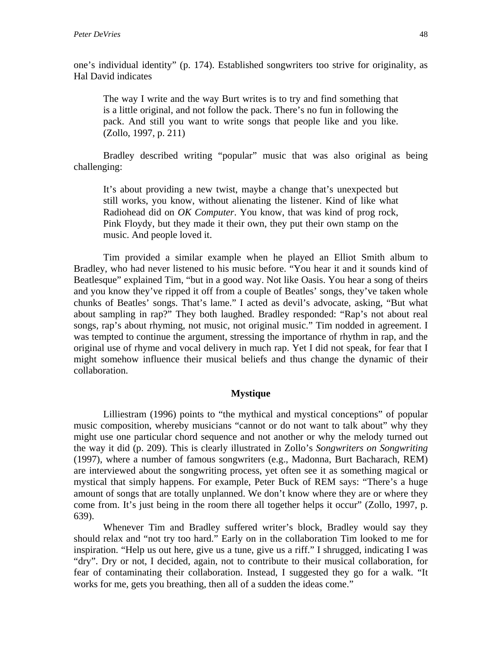one's individual identity" (p. 174). Established songwriters too strive for originality, as Hal David indicates

The way I write and the way Burt writes is to try and find something that is a little original, and not follow the pack. There's no fun in following the pack. And still you want to write songs that people like and you like. (Zollo, 1997, p. 211)

Bradley described writing "popular" music that was also original as being challenging:

It's about providing a new twist, maybe a change that's unexpected but still works, you know, without alienating the listener. Kind of like what Radiohead did on *OK Computer*. You know, that was kind of prog rock, Pink Floydy, but they made it their own, they put their own stamp on the music. And people loved it.

Tim provided a similar example when he played an Elliot Smith album to Bradley, who had never listened to his music before. "You hear it and it sounds kind of Beatlesque" explained Tim, "but in a good way. Not like Oasis. You hear a song of theirs and you know they've ripped it off from a couple of Beatles' songs, they've taken whole chunks of Beatles' songs. That's lame." I acted as devil's advocate, asking, "But what about sampling in rap?" They both laughed. Bradley responded: "Rap's not about real songs, rap's about rhyming, not music, not original music." Tim nodded in agreement. I was tempted to continue the argument, stressing the importance of rhythm in rap, and the original use of rhyme and vocal delivery in much rap. Yet I did not speak, for fear that I might somehow influence their musical beliefs and thus change the dynamic of their collaboration.

#### **Mystique**

Lilliestram (1996) points to "the mythical and mystical conceptions" of popular music composition, whereby musicians "cannot or do not want to talk about" why they might use one particular chord sequence and not another or why the melody turned out the way it did (p. 209). This is clearly illustrated in Zollo's *Songwriters on Songwriting* (1997), where a number of famous songwriters (e.g., Madonna, Burt Bacharach, REM) are interviewed about the songwriting process, yet often see it as something magical or mystical that simply happens. For example, Peter Buck of REM says: "There's a huge amount of songs that are totally unplanned. We don't know where they are or where they come from. It's just being in the room there all together helps it occur" (Zollo, 1997, p. 639).

Whenever Tim and Bradley suffered writer's block, Bradley would say they should relax and "not try too hard." Early on in the collaboration Tim looked to me for inspiration. "Help us out here, give us a tune, give us a riff." I shrugged, indicating I was "dry". Dry or not, I decided, again, not to contribute to their musical collaboration, for fear of contaminating their collaboration. Instead, I suggested they go for a walk. "It works for me, gets you breathing, then all of a sudden the ideas come."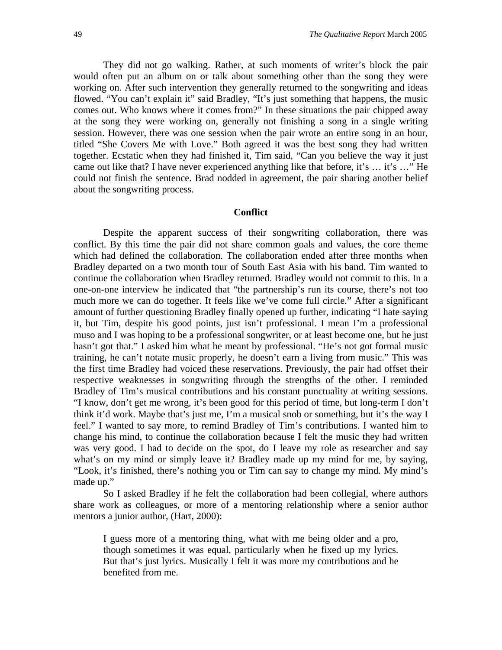They did not go walking. Rather, at such moments of writer's block the pair would often put an album on or talk about something other than the song they were working on. After such intervention they generally returned to the songwriting and ideas flowed. "You can't explain it" said Bradley, "It's just something that happens, the music comes out. Who knows where it comes from?" In these situations the pair chipped away at the song they were working on, generally not finishing a song in a single writing session. However, there was one session when the pair wrote an entire song in an hour, titled "She Covers Me with Love." Both agreed it was the best song they had written together. Ecstatic when they had finished it, Tim said, "Can you believe the way it just came out like that? I have never experienced anything like that before, it's … it's …" He could not finish the sentence. Brad nodded in agreement, the pair sharing another belief about the songwriting process.

### **Conflict**

Despite the apparent success of their songwriting collaboration, there was conflict. By this time the pair did not share common goals and values, the core theme which had defined the collaboration. The collaboration ended after three months when Bradley departed on a two month tour of South East Asia with his band. Tim wanted to continue the collaboration when Bradley returned. Bradley would not commit to this. In a one-on-one interview he indicated that "the partnership's run its course, there's not too much more we can do together. It feels like we've come full circle." After a significant amount of further questioning Bradley finally opened up further, indicating "I hate saying it, but Tim, despite his good points, just isn't professional. I mean I'm a professional muso and I was hoping to be a professional songwriter, or at least become one, but he just hasn't got that." I asked him what he meant by professional. "He's not got formal music training, he can't notate music properly, he doesn't earn a living from music." This was the first time Bradley had voiced these reservations. Previously, the pair had offset their respective weaknesses in songwriting through the strengths of the other. I reminded Bradley of Tim's musical contributions and his constant punctuality at writing sessions. "I know, don't get me wrong, it's been good for this period of time, but long-term I don't think it'd work. Maybe that's just me, I'm a musical snob or something, but it's the way I feel." I wanted to say more, to remind Bradley of Tim's contributions. I wanted him to change his mind, to continue the collaboration because I felt the music they had written was very good. I had to decide on the spot, do I leave my role as researcher and say what's on my mind or simply leave it? Bradley made up my mind for me, by saying, "Look, it's finished, there's nothing you or Tim can say to change my mind. My mind's made up."

So I asked Bradley if he felt the collaboration had been collegial, where authors share work as colleagues, or more of a mentoring relationship where a senior author mentors a junior author, (Hart, 2000):

I guess more of a mentoring thing, what with me being older and a pro, though sometimes it was equal, particularly when he fixed up my lyrics. But that's just lyrics. Musically I felt it was more my contributions and he benefited from me.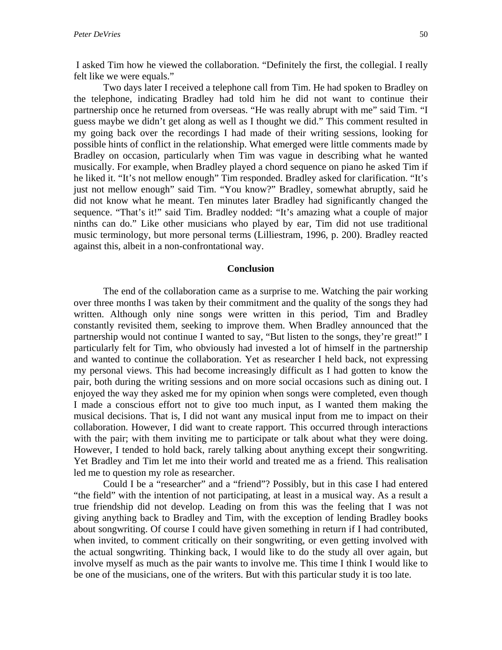I asked Tim how he viewed the collaboration. "Definitely the first, the collegial. I really felt like we were equals."

Two days later I received a telephone call from Tim. He had spoken to Bradley on the telephone, indicating Bradley had told him he did not want to continue their partnership once he returned from overseas. "He was really abrupt with me" said Tim. "I guess maybe we didn't get along as well as I thought we did." This comment resulted in my going back over the recordings I had made of their writing sessions, looking for possible hints of conflict in the relationship. What emerged were little comments made by Bradley on occasion, particularly when Tim was vague in describing what he wanted musically. For example, when Bradley played a chord sequence on piano he asked Tim if he liked it. "It's not mellow enough" Tim responded. Bradley asked for clarification. "It's just not mellow enough" said Tim. "You know?" Bradley, somewhat abruptly, said he did not know what he meant. Ten minutes later Bradley had significantly changed the sequence. "That's it!" said Tim. Bradley nodded: "It's amazing what a couple of major ninths can do." Like other musicians who played by ear, Tim did not use traditional music terminology, but more personal terms (Lilliestram, 1996, p. 200). Bradley reacted against this, albeit in a non-confrontational way.

#### **Conclusion**

The end of the collaboration came as a surprise to me. Watching the pair working over three months I was taken by their commitment and the quality of the songs they had written. Although only nine songs were written in this period, Tim and Bradley constantly revisited them, seeking to improve them. When Bradley announced that the partnership would not continue I wanted to say, "But listen to the songs, they're great!" I particularly felt for Tim, who obviously had invested a lot of himself in the partnership and wanted to continue the collaboration. Yet as researcher I held back, not expressing my personal views. This had become increasingly difficult as I had gotten to know the pair, both during the writing sessions and on more social occasions such as dining out. I enjoyed the way they asked me for my opinion when songs were completed, even though I made a conscious effort not to give too much input, as I wanted them making the musical decisions. That is, I did not want any musical input from me to impact on their collaboration. However, I did want to create rapport. This occurred through interactions with the pair; with them inviting me to participate or talk about what they were doing. However, I tended to hold back, rarely talking about anything except their songwriting. Yet Bradley and Tim let me into their world and treated me as a friend. This realisation led me to question my role as researcher.

Could I be a "researcher" and a "friend"? Possibly, but in this case I had entered "the field" with the intention of not participating, at least in a musical way. As a result a true friendship did not develop. Leading on from this was the feeling that I was not giving anything back to Bradley and Tim, with the exception of lending Bradley books about songwriting. Of course I could have given something in return if I had contributed, when invited, to comment critically on their songwriting, or even getting involved with the actual songwriting. Thinking back, I would like to do the study all over again, but involve myself as much as the pair wants to involve me. This time I think I would like to be one of the musicians, one of the writers. But with this particular study it is too late.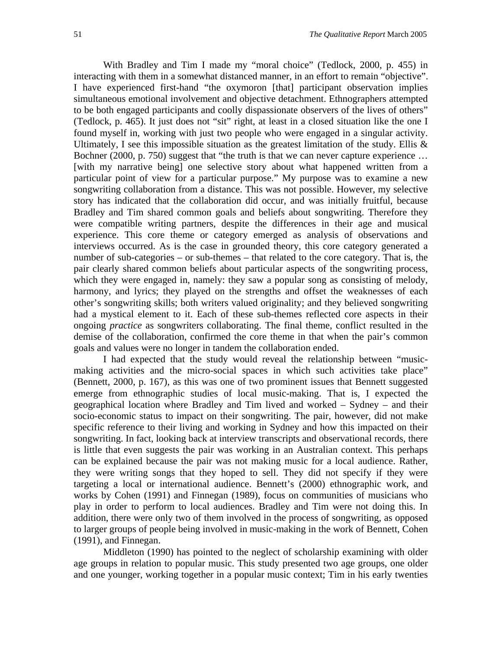With Bradley and Tim I made my "moral choice" (Tedlock, 2000, p. 455) in interacting with them in a somewhat distanced manner, in an effort to remain "objective". I have experienced first-hand "the oxymoron [that] participant observation implies simultaneous emotional involvement and objective detachment. Ethnographers attempted to be both engaged participants and coolly dispassionate observers of the lives of others" (Tedlock, p. 465). It just does not "sit" right, at least in a closed situation like the one I found myself in, working with just two people who were engaged in a singular activity. Ultimately, I see this impossible situation as the greatest limitation of the study. Ellis  $\&$ Bochner (2000, p. 750) suggest that "the truth is that we can never capture experience ... [with my narrative being] one selective story about what happened written from a particular point of view for a particular purpose." My purpose was to examine a new songwriting collaboration from a distance. This was not possible. However, my selective story has indicated that the collaboration did occur, and was initially fruitful, because Bradley and Tim shared common goals and beliefs about songwriting. Therefore they were compatible writing partners, despite the differences in their age and musical experience. This core theme or category emerged as analysis of observations and interviews occurred. As is the case in grounded theory, this core category generated a number of sub-categories – or sub-themes – that related to the core category. That is, the pair clearly shared common beliefs about particular aspects of the songwriting process, which they were engaged in, namely: they saw a popular song as consisting of melody, harmony, and lyrics; they played on the strengths and offset the weaknesses of each other's songwriting skills; both writers valued originality; and they believed songwriting had a mystical element to it. Each of these sub-themes reflected core aspects in their ongoing *practice* as songwriters collaborating. The final theme, conflict resulted in the demise of the collaboration, confirmed the core theme in that when the pair's common goals and values were no longer in tandem the collaboration ended.

I had expected that the study would reveal the relationship between "musicmaking activities and the micro-social spaces in which such activities take place" (Bennett, 2000, p. 167), as this was one of two prominent issues that Bennett suggested emerge from ethnographic studies of local music-making. That is, I expected the geographical location where Bradley and Tim lived and worked – Sydney – and their socio-economic status to impact on their songwriting. The pair, however, did not make specific reference to their living and working in Sydney and how this impacted on their songwriting. In fact, looking back at interview transcripts and observational records, there is little that even suggests the pair was working in an Australian context. This perhaps can be explained because the pair was not making music for a local audience. Rather, they were writing songs that they hoped to sell. They did not specify if they were targeting a local or international audience. Bennett's (2000) ethnographic work, and works by Cohen (1991) and Finnegan (1989), focus on communities of musicians who play in order to perform to local audiences. Bradley and Tim were not doing this. In addition, there were only two of them involved in the process of songwriting, as opposed to larger groups of people being involved in music-making in the work of Bennett, Cohen (1991), and Finnegan.

Middleton (1990) has pointed to the neglect of scholarship examining with older age groups in relation to popular music. This study presented two age groups, one older and one younger, working together in a popular music context; Tim in his early twenties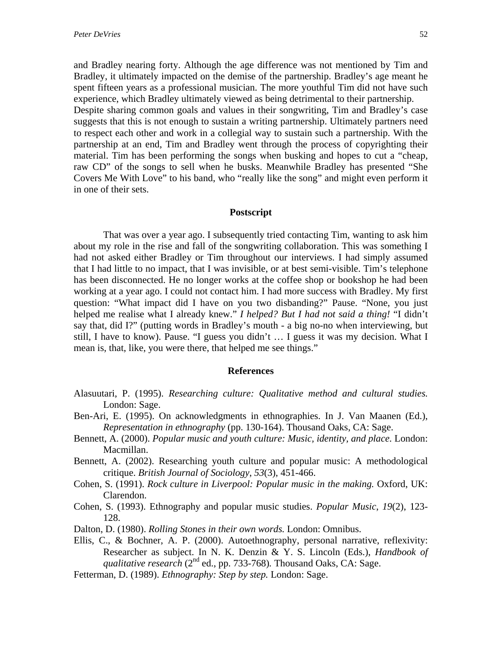and Bradley nearing forty. Although the age difference was not mentioned by Tim and Bradley, it ultimately impacted on the demise of the partnership. Bradley's age meant he spent fifteen years as a professional musician. The more youthful Tim did not have such experience, which Bradley ultimately viewed as being detrimental to their partnership. Despite sharing common goals and values in their songwriting, Tim and Bradley's case suggests that this is not enough to sustain a writing partnership. Ultimately partners need to respect each other and work in a collegial way to sustain such a partnership. With the partnership at an end, Tim and Bradley went through the process of copyrighting their material. Tim has been performing the songs when busking and hopes to cut a "cheap, raw CD" of the songs to sell when he busks. Meanwhile Bradley has presented "She Covers Me With Love" to his band, who "really like the song" and might even perform it in one of their sets.

#### **Postscript**

That was over a year ago. I subsequently tried contacting Tim, wanting to ask him about my role in the rise and fall of the songwriting collaboration. This was something I had not asked either Bradley or Tim throughout our interviews. I had simply assumed that I had little to no impact, that I was invisible, or at best semi-visible. Tim's telephone has been disconnected. He no longer works at the coffee shop or bookshop he had been working at a year ago. I could not contact him. I had more success with Bradley. My first question: "What impact did I have on you two disbanding?" Pause. "None, you just helped me realise what I already knew." *I helped? But I had not said a thing!* "I didn't say that, did I?" (putting words in Bradley's mouth - a big no-no when interviewing, but still, I have to know). Pause. "I guess you didn't … I guess it was my decision. What I mean is, that, like, you were there, that helped me see things."

#### **References**

- Alasuutari, P. (1995). *Researching culture: Qualitative method and cultural studies.* London: Sage.
- Ben-Ari, E. (1995). On acknowledgments in ethnographies. In J. Van Maanen (Ed.), *Representation in ethnography* (pp. 130-164). Thousand Oaks, CA: Sage.
- Bennett, A. (2000). *Popular music and youth culture: Music, identity, and place.* London: Macmillan.
- Bennett, A. (2002). Researching youth culture and popular music: A methodological critique. *British Journal of Sociology*, *53*(3), 451-466.
- Cohen, S. (1991). *Rock culture in Liverpool: Popular music in the making.* Oxford, UK: Clarendon.
- Cohen, S. (1993). Ethnography and popular music studies. *Popular Music*, *19*(2), 123- 128.
- Dalton, D. (1980). *Rolling Stones in their own words.* London: Omnibus.
- Ellis, C., & Bochner, A. P. (2000). Autoethnography, personal narrative, reflexivity: Researcher as subject. In N. K. Denzin & Y. S. Lincoln (Eds.), *Handbook of qualitative research* (2<sup>nd</sup> ed., pp. 733-768). Thousand Oaks, CA: Sage.
- Fetterman, D. (1989). *Ethnography: Step by step.* London: Sage.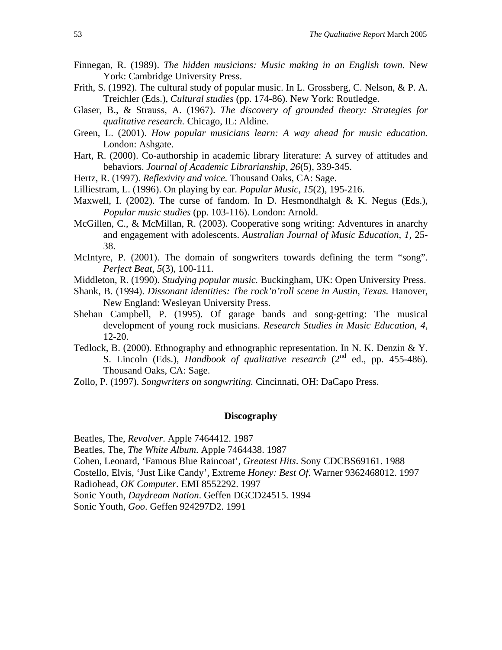- Finnegan, R. (1989). *The hidden musicians: Music making in an English town.* New York: Cambridge University Press.
- Frith, S. (1992). The cultural study of popular music. In L. Grossberg, C. Nelson, & P. A. Treichler (Eds.), *Cultural studies* (pp. 174-86). New York: Routledge.
- Glaser, B., & Strauss, A. (1967). *The discovery of grounded theory: Strategies for qualitative research.* Chicago, IL: Aldine.
- Green, L. (2001). *How popular musicians learn: A way ahead for music education.* London: Ashgate.
- Hart, R. (2000). Co-authorship in academic library literature: A survey of attitudes and behaviors. *Journal of Academic Librarianship*, *26*(5), 339-345.
- Hertz, R. (1997). *Reflexivity and voice.* Thousand Oaks, CA: Sage.
- Lilliestram, L. (1996). On playing by ear. *Popular Music*, *15*(2), 195-216.
- Maxwell, I. (2002). The curse of fandom. In D. Hesmondhalgh  $& K$ . Negus (Eds.), *Popular music studies* (pp. 103-116). London: Arnold.
- McGillen, C., & McMillan, R. (2003). Cooperative song writing: Adventures in anarchy and engagement with adolescents. *Australian Journal of Music Education*, *1*, 25- 38.
- McIntyre, P. (2001). The domain of songwriters towards defining the term "song". *Perfect Beat, 5*(3), 100-111.
- Middleton, R. (1990). *Studying popular music.* Buckingham, UK: Open University Press.
- Shank, B. (1994). *Dissonant identities: The rock'n'roll scene in Austin, Texas.* Hanover, New England: Wesleyan University Press.
- Shehan Campbell, P. (1995). Of garage bands and song-getting: The musical development of young rock musicians. *Research Studies in Music Education*, *4,* 12-20.
- Tedlock, B. (2000). Ethnography and ethnographic representation. In N. K. Denzin & Y. S. Lincoln (Eds.), *Handbook of qualitative research* (2<sup>nd</sup> ed., pp. 455-486). Thousand Oaks, CA: Sage.
- Zollo, P. (1997). *Songwriters on songwriting.* Cincinnati, OH: DaCapo Press.

#### **Discography**

Beatles, The, *Revolver*. Apple 7464412. 1987

Beatles, The, *The White Album*. Apple 7464438. 1987

Cohen, Leonard, 'Famous Blue Raincoat', *Greatest Hits*. Sony CDCBS69161. 1988

Costello, Elvis, 'Just Like Candy', Extreme *Honey: Best Of*. Warner 9362468012. 1997

Radiohead, *OK Computer*. EMI 8552292. 1997

Sonic Youth, *Daydream Nation*. Geffen DGCD24515. 1994

Sonic Youth, *Goo*. Geffen 924297D2. 1991